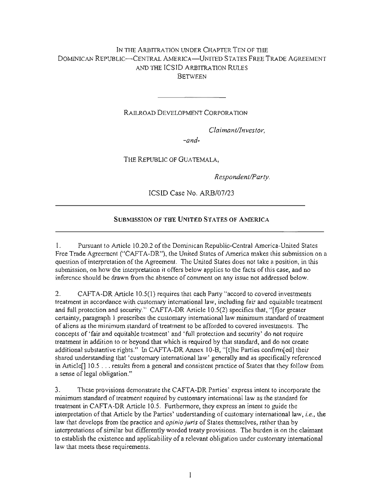## IN THE ARBITRATION UNDER CHAPTER TEN OF THE DOMINICAN REPUBLIC- CENTRAL AMERICA-UNITED STATES FREE TRADE AGREEMENT AND THE ICSID ARBITRATION RULES **BETWEEN**

RAILROAD DEVELOPMENT CORPORATION

*Claimant/Investor,* 

*-and-*

THE REPUBLIC OF GUATEMALA,

*Respondent/Party.* 

ICSID Case No. ARB/07/23

## SUBMISSION OF THE UNITED STATES OF AMERICA

1. Pursuant to Article 10.20.2 of the Dominican Republic-Central America-United States Free Trade Agreement ("CAFT A-DR"), the United States of America makes this submission on a question of interpretation of the Agreement. The United States does not take a position, in this submission, on how the interpretation it offers below applies to the facts of this case, and no inference should be drawn from the absence of comment on any issue not addressed below.

2. CAFTA-DR Article 10.5(1) requires that each Party "accord to covered investments treatment in accordance with customary international law, including fair and equitable treatment and full protection and security." CAFTA-DR Article 10.5(2) specifies that, "[f]or greater certainty, paragraph 1 prescribes the customary international law minimum standard of treatment of aliens as the minimum standard of treatment to be afforded to covered investments. The concepts of 'fair and equitable treatment' and 'full protection and security' do not require treatment in addition to or beyond that which is required by that standard, and do not create additional substantive rights." In CAFTA-DR Annex 10-B, "[t]he Parties confirm[ed] their shared understanding that 'customary international law' generally and as specifically referenced in Article[] 10.5 ... results from a general and consistent practice of States that they follow from a sense of legal obligation."

3. These provisions demonstrate the CAFTA-DR Parties' express intent to incorporate the minimum standard of treatment required by customary international law as the standard for treatment in CAFTA-DR Article 10.5. Furthermore, they express an intent to guide the interpretation of that Article by the Parties' understanding of customary international law, *i.e.,* the law that develops from the practice and *opinio juris* of States themselves, rather than by interpretations of similar but differently worded treaty provisions. The burden is on the claimant to establish the existence and applicability of a relevant obligation under customary international law that meets these requirements.